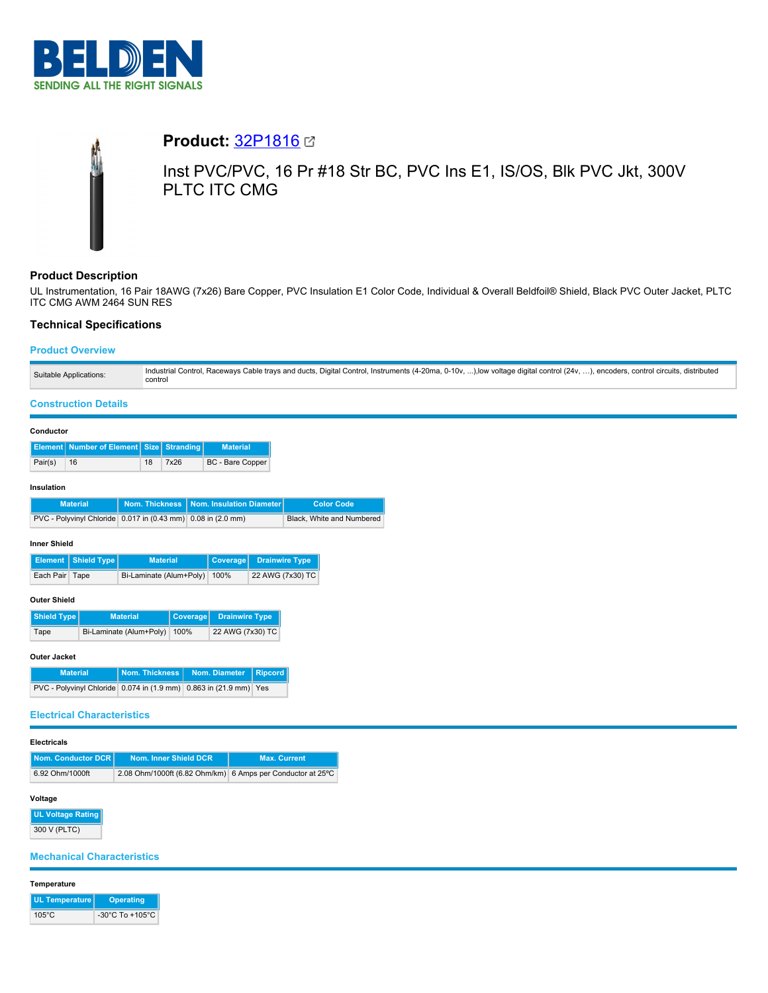

# **Product:** [32P1816](https://catalog.belden.com/index.cfm?event=pd&p=PF_32P1816&tab=downloads) Inst PVC/PVC, 16 Pr #18 Str BC, PVC Ins E1, IS/OS, Blk PVC Jkt, 300V PLTC ITC CMG

# **Product Description**

UL Instrumentation, 16 Pair 18AWG (7x26) Bare Copper, PVC Insulation E1 Color Code, Individual & Overall Beldfoil® Shield, Black PVC Outer Jacket, PLTC ITC CMG AWM 2464 SUN RES

## **Technical Specifications**

## **Product Overview**

| Suitable Applications: | Industrial Control, Raceways Cable trays and ducts, Digital Control, Instruments (4-20ma, 0-10v, ), low voltage digital control (24v, ), encoders, control circuits, distributed<br>control |
|------------------------|---------------------------------------------------------------------------------------------------------------------------------------------------------------------------------------------|
|                        |                                                                                                                                                                                             |

## **Construction Details**

#### **Conductor**

|         | <b>Element   Number of Element   Size   Stranding  </b> |    |      | <b>Material</b>  |
|---------|---------------------------------------------------------|----|------|------------------|
| Pair(s) | 16                                                      | 18 | 7x26 | BC - Bare Copper |

#### **Insulation**

| <b>Material</b>                                              | Nom. Thickness   Nom. Insulation Diameter | <b>Color Code</b>         |
|--------------------------------------------------------------|-------------------------------------------|---------------------------|
| PVC - Polyvinyl Chloride 0.017 in (0.43 mm) 0.08 in (2.0 mm) |                                           | Black, White and Numbered |

#### **Inner Shield**

|                | <b>Element   Shield Type  </b> | <b>Material</b>              | Coverage Drainwire Type |
|----------------|--------------------------------|------------------------------|-------------------------|
| Each Pair Tape |                                | Bi-Laminate (Alum+Poly) 100% | 22 AWG (7x30) TC        |

## **Outer Shield**

| Shield Type | <b>Material</b>              | Coverage Drainwire Type |
|-------------|------------------------------|-------------------------|
| Tape        | Bi-Laminate (Alum+Poly) 100% | 22 AWG (7x30) TC        |

## **Outer Jacket**

| <b>Material</b>                                                   | Nom. Thickness   Nom. Diameter   Ripcord |  |
|-------------------------------------------------------------------|------------------------------------------|--|
| PVC - Polyvinyl Chloride 0.074 in (1.9 mm) 0.863 in (21.9 mm) Yes |                                          |  |

#### **Electrical Characteristics**

| Nom. Conductor DCR | Nom. Inner Shield DCR                                      | <b>Max. Current</b> |
|--------------------|------------------------------------------------------------|---------------------|
| 6.92 Ohm/1000ft    | 2.08 Ohm/1000ft (6.82 Ohm/km) 6 Amps per Conductor at 25°C |                     |

## **Voltage**

**UL Voltage Rating** 300 V (PLTC)

# **Mechanical Characteristics**

## **Temperature**

| UL Temperature  | <b>Operating</b>                      |
|-----------------|---------------------------------------|
| $105^{\circ}$ C | -30 $^{\circ}$ C To +105 $^{\circ}$ C |